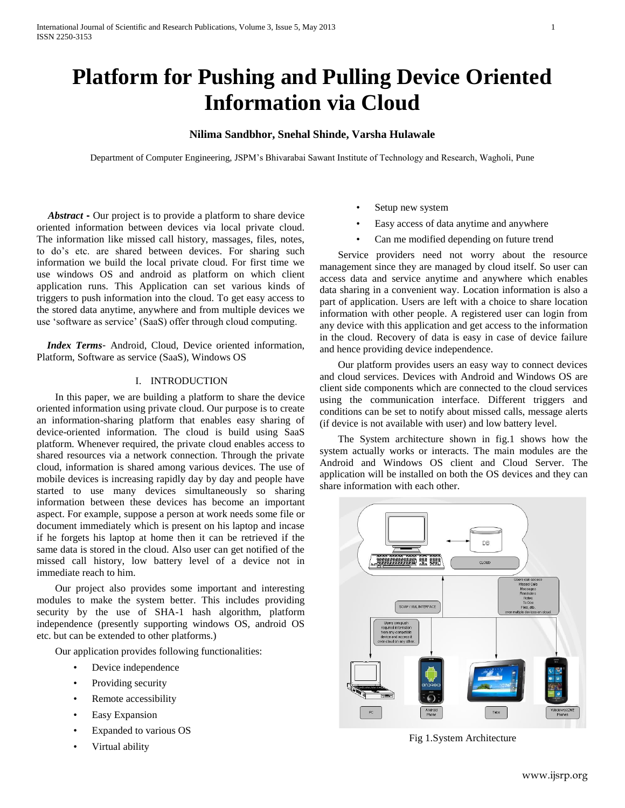# **Platform for Pushing and Pulling Device Oriented Information via Cloud**

## **Nilima Sandbhor, Snehal Shinde, Varsha Hulawale**

Department of Computer Engineering, JSPM's Bhivarabai Sawant Institute of Technology and Research, Wagholi, Pune

 *Abstract* **-** Our project is to provide a platform to share device oriented information between devices via local private cloud. The information like missed call history, massages, files, notes, to do's etc. are shared between devices. For sharing such information we build the local private cloud. For first time we use windows OS and android as platform on which client application runs. This Application can set various kinds of triggers to push information into the cloud. To get easy access to the stored data anytime, anywhere and from multiple devices we use 'software as service' (SaaS) offer through cloud computing.

 *Index Terms*- Android, Cloud, Device oriented information, Platform, Software as service (SaaS), Windows OS

## I. INTRODUCTION

In this paper, we are building a platform to share the device oriented information using private cloud. Our purpose is to create an information-sharing platform that enables easy sharing of device-oriented information. The cloud is build using SaaS platform. Whenever required, the private cloud enables access to shared resources via a network connection. Through the private cloud, information is shared among various devices. The use of mobile devices is increasing rapidly day by day and people have started to use many devices simultaneously so sharing information between these devices has become an important aspect. For example, suppose a person at work needs some file or document immediately which is present on his laptop and incase if he forgets his laptop at home then it can be retrieved if the same data is stored in the cloud. Also user can get notified of the missed call history, low battery level of a device not in immediate reach to him.

Our project also provides some important and interesting modules to make the system better. This includes providing security by the use of SHA-1 hash algorithm, platform independence (presently supporting windows OS, android OS etc. but can be extended to other platforms.)

Our application provides following functionalities:

- Device independence
- Providing security
- Remote accessibility
- Easy Expansion
- Expanded to various OS
- Virtual ability
- Setup new system
- Easy access of data anytime and anywhere
- Can me modified depending on future trend

Service providers need not worry about the resource management since they are managed by cloud itself. So user can access data and service anytime and anywhere which enables data sharing in a convenient way. Location information is also a part of application. Users are left with a choice to share location information with other people. A registered user can login from any device with this application and get access to the information in the cloud. Recovery of data is easy in case of device failure and hence providing device independence.

Our platform provides users an easy way to connect devices and cloud services. Devices with Android and Windows OS are client side components which are connected to the cloud services using the communication interface. Different triggers and conditions can be set to notify about missed calls, message alerts (if device is not available with user) and low battery level.

The System architecture shown in fig.1 shows how the system actually works or interacts. The main modules are the Android and Windows OS client and Cloud Server. The application will be installed on both the OS devices and they can share information with each other.



Fig 1.System Architecture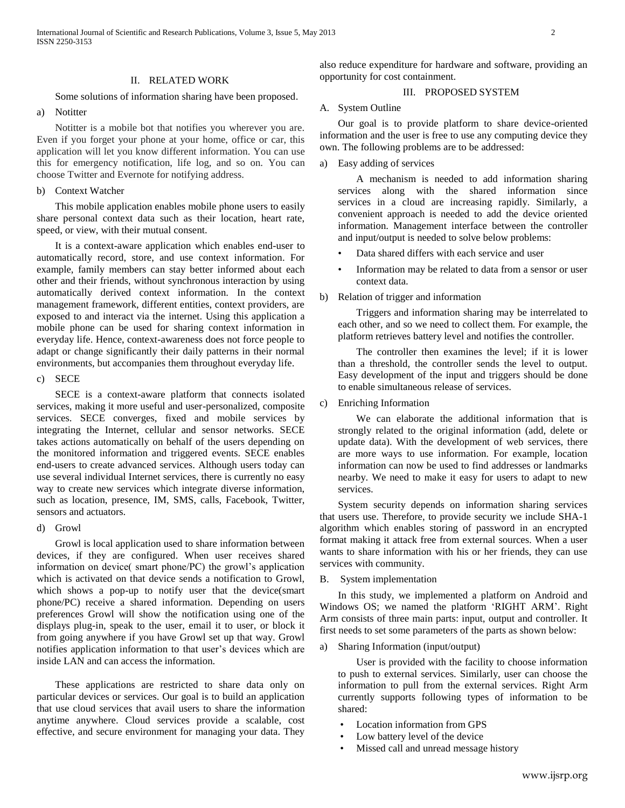#### II. RELATED WORK

Some solutions of information sharing have been proposed.

a) Notitter

Notitter is a mobile bot that notifies you wherever you are. Even if you forget your phone at your home, office or car, this application will let you know different information. You can use this for emergency notification, life log, and so on. You can choose Twitter and Evernote for notifying address.

b) Context Watcher

This mobile application enables mobile phone users to easily share personal context data such as their location, heart rate, speed, or view, with their mutual consent.

It is a context-aware application which enables end-user to automatically record, store, and use context information. For example, family members can stay better informed about each other and their friends, without synchronous interaction by using automatically derived context information. In the context management framework, different entities, context providers, are exposed to and interact via the internet. Using this application a mobile phone can be used for sharing context information in everyday life. Hence, context-awareness does not force people to adapt or change significantly their daily patterns in their normal environments, but accompanies them throughout everyday life.

#### c) SECE

SECE is a context-aware platform that connects isolated services, making it more useful and user-personalized, composite services. SECE converges, fixed and mobile services by integrating the Internet, cellular and sensor networks. SECE takes actions automatically on behalf of the users depending on the monitored information and triggered events. SECE enables end-users to create advanced services. Although users today can use several individual Internet services, there is currently no easy way to create new services which integrate diverse information, such as location, presence, IM, SMS, calls, Facebook, Twitter, sensors and actuators.

d) Growl

Growl is local application used to share information between devices, if they are configured. When user receives shared information on device( smart phone/PC) the growl's application which is activated on that device sends a notification to Growl, which shows a pop-up to notify user that the device(smart phone/PC) receive a shared information. Depending on users preferences Growl will show the notification using one of the displays plug-in, speak to the user, email it to user, or block it from going anywhere if you have Growl set up that way. Growl notifies application information to that user's devices which are inside LAN and can access the information.

These applications are restricted to share data only on particular devices or services. Our goal is to build an application that use cloud services that avail users to share the information anytime anywhere. Cloud services provide a scalable, cost effective, and secure environment for managing your data. They also reduce expenditure for hardware and software, providing an opportunity for cost containment.

## III. PROPOSED SYSTEM

## A. System Outline

Our goal is to provide platform to share device-oriented information and the user is free to use any computing device they own. The following problems are to be addressed:

a) Easy adding of services

A mechanism is needed to add information sharing services along with the shared information since services in a cloud are increasing rapidly. Similarly, a convenient approach is needed to add the device oriented information. Management interface between the controller and input/output is needed to solve below problems:

- Data shared differs with each service and user
- Information may be related to data from a sensor or user context data.
- b) Relation of trigger and information

Triggers and information sharing may be interrelated to each other, and so we need to collect them. For example, the platform retrieves battery level and notifies the controller.

The controller then examines the level; if it is lower than a threshold, the controller sends the level to output. Easy development of the input and triggers should be done to enable simultaneous release of services.

c) Enriching Information

We can elaborate the additional information that is strongly related to the original information (add, delete or update data). With the development of web services, there are more ways to use information. For example, location information can now be used to find addresses or landmarks nearby. We need to make it easy for users to adapt to new services.

System security depends on information sharing services that users use. Therefore, to provide security we include SHA-1 algorithm which enables storing of password in an encrypted format making it attack free from external sources. When a user wants to share information with his or her friends, they can use services with community.

B. System implementation

In this study, we implemented a platform on Android and Windows OS; we named the platform 'RIGHT ARM'. Right Arm consists of three main parts: input, output and controller. It first needs to set some parameters of the parts as shown below:

a) Sharing Information (input/output)

User is provided with the facility to choose information to push to external services. Similarly, user can choose the information to pull from the external services. Right Arm currently supports following types of information to be shared:

- Location information from GPS
- Low battery level of the device
- Missed call and unread message history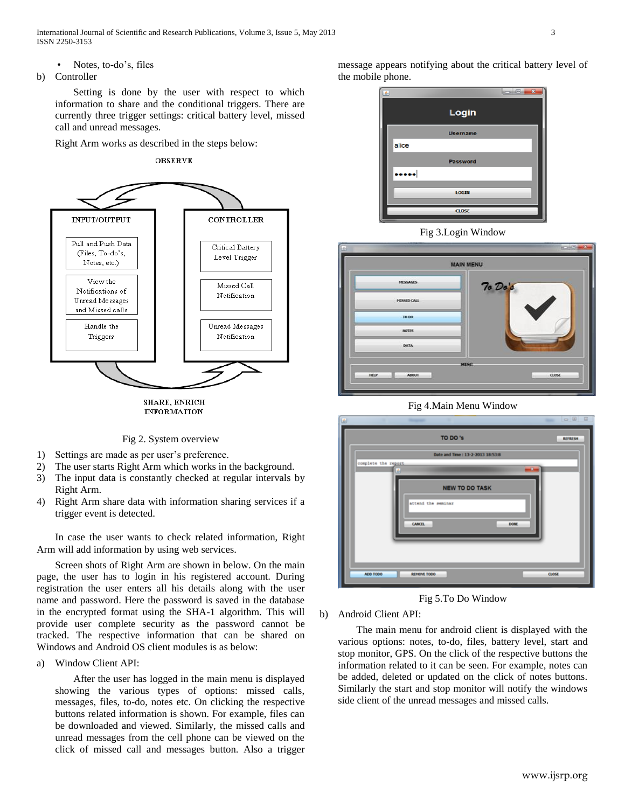International Journal of Scientific and Research Publications, Volume 3, Issue 5, May 2013 3 ISSN 2250-3153

- Notes, to-do's, files
- b) Controller

Setting is done by the user with respect to which information to share and the conditional triggers. There are currently three trigger settings: critical battery level, missed call and unread messages.

Right Arm works as described in the steps below:





Fig 2. System overview

- 1) Settings are made as per user's preference.
- 2) The user starts Right Arm which works in the background.
- 3) The input data is constantly checked at regular intervals by Right Arm.
- 4) Right Arm share data with information sharing services if a trigger event is detected.

In case the user wants to check related information, Right Arm will add information by using web services.

Screen shots of Right Arm are shown in below. On the main page, the user has to login in his registered account. During registration the user enters all his details along with the user name and password. Here the password is saved in the database in the encrypted format using the SHA-1 algorithm. This will provide user complete security as the password cannot be tracked. The respective information that can be shared on Windows and Android OS client modules is as below:

a) Window Client API:

After the user has logged in the main menu is displayed showing the various types of options: missed calls, messages, files, to-do, notes etc. On clicking the respective buttons related information is shown. For example, files can be downloaded and viewed. Similarly, the missed calls and unread messages from the cell phone can be viewed on the click of missed call and messages button. Also a trigger message appears notifying about the critical battery level of the mobile phone.

| 国 |       |                 | $\overline{\mathbf{z}}$<br><b>CHO</b> |
|---|-------|-----------------|---------------------------------------|
|   |       | Login           |                                       |
|   |       | <b>Username</b> |                                       |
|   | alice |                 |                                       |
|   |       | Password        |                                       |
|   |       |                 |                                       |
|   |       | LOGIN           |                                       |
|   |       | CLOSE           |                                       |





Fig 4.Main Menu Window



Fig 5.To Do Window

b) Android Client API:

The main menu for android client is displayed with the various options: notes, to-do, files, battery level, start and stop monitor, GPS. On the click of the respective buttons the information related to it can be seen. For example, notes can be added, deleted or updated on the click of notes buttons. Similarly the start and stop monitor will notify the windows side client of the unread messages and missed calls.